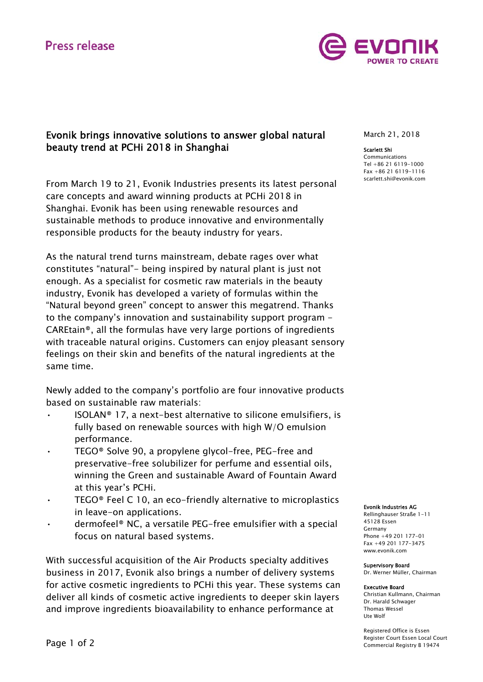# **Press release**



## Evonik brings innovative solutions to answer global natural beauty trend at PCHi 2018 in Shanghai

From March 19 to 21, Evonik Industries presents its latest personal care concepts and award winning products at PCHi 2018 in Shanghai. Evonik has been using renewable resources and sustainable methods to produce innovative and environmentally responsible products for the beauty industry for years.

As the natural trend turns mainstream, debate rages over what constitutes "natural"- being inspired by natural plant is just not enough. As a specialist for cosmetic raw materials in the beauty industry, Evonik has developed a variety of formulas within the "Natural beyond green" concept to answer this megatrend. Thanks to the company's innovation and sustainability support program - CAREtain®, all the formulas have very large portions of ingredients with traceable natural origins. Customers can enjoy pleasant sensory feelings on their skin and benefits of the natural ingredients at the same time.

Newly added to the company's portfolio are four innovative products based on sustainable raw materials:

- ISOLAN® 17, a next-best alternative to silicone emulsifiers, is fully based on renewable sources with high W/O emulsion performance.
- TEGO® Solve 90, a propylene glycol-free, PEG-free and preservative-free solubilizer for perfume and essential oils, winning the Green and sustainable Award of Fountain Award at this year's PCHi.
- TEGO® Feel C 10, an eco-friendly alternative to microplastics in leave-on applications.
- dermofeel® NC, a versatile PEG-free emulsifier with a special focus on natural based systems.

With successful acquisition of the Air Products specialty additives business in 2017, Evonik also brings a number of delivery systems for active cosmetic ingredients to PCHi this year. These systems can deliver all kinds of cosmetic active ingredients to deeper skin layers and improve ingredients bioavailability to enhance performance at

## March 21, 2018

#### Scarlett Shi

Communications Tel +86 21 6119-1000 Fax +86 21 6119-1116 scarlett.shi@evonik.com

#### Evonik Industries AG

Rellinghauser Straße 1-11 45128 Essen Germany Phone +49 201 177-01 Fax +49 201 177-3475 www.evonik.com

#### Supervisory Board

Dr. Werner Müller, Chairman

#### Executive Board

Christian Kullmann, Chairman Dr. Harald Schwager Thomas Wessel Ute Wolf

Registered Office is Essen Register Court Essen Local Court Commercial Registry B 19474